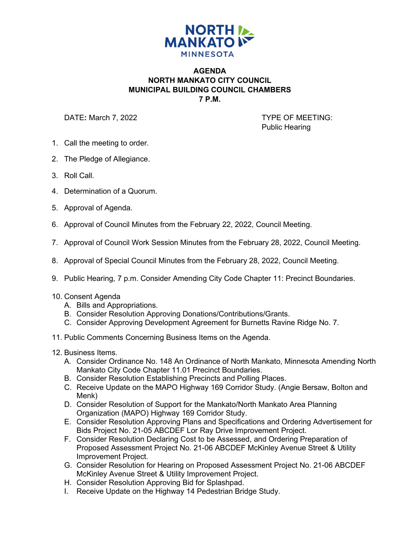

## **AGENDA NORTH MANKATO CITY COUNCIL MUNICIPAL BUILDING COUNCIL CHAMBERS 7 P.M.**

DATE: March 7, 2022 **TYPE OF MEETING:** 

Public Hearing

- 1. Call the meeting to order.
- 2. The Pledge of Allegiance.
- 3. Roll Call.
- 4. Determination of a Quorum.
- 5. Approval of Agenda.
- 6. Approval of Council Minutes from the February 22, 2022, Council Meeting.
- 7. Approval of Council Work Session Minutes from the February 28, 2022, Council Meeting.
- 8. Approval of Special Council Minutes from the February 28, 2022, Council Meeting.
- 9. Public Hearing, 7 p.m. Consider Amending City Code Chapter 11: Precinct Boundaries.
- 10. Consent Agenda
	- A. Bills and Appropriations.
	- B. Consider Resolution Approving Donations/Contributions/Grants.
	- C. Consider Approving Development Agreement for Burnetts Ravine Ridge No. 7.
- 11. Public Comments Concerning Business Items on the Agenda.
- 12. Business Items.
	- A. Consider Ordinance No. 148 An Ordinance of North Mankato, Minnesota Amending North Mankato City Code Chapter 11.01 Precinct Boundaries.
	- B. Consider Resolution Establishing Precincts and Polling Places.
	- C. Receive Update on the MAPO Highway 169 Corridor Study. (Angie Bersaw, Bolton and Menk)
	- D. Consider Resolution of Support for the Mankato/North Mankato Area Planning Organization (MAPO) Highway 169 Corridor Study.
	- E. Consider Resolution Approving Plans and Specifications and Ordering Advertisement for Bids Project No. 21-05 ABCDEF Lor Ray Drive Improvement Project.
	- F. Consider Resolution Declaring Cost to be Assessed, and Ordering Preparation of Proposed Assessment Project No. 21-06 ABCDEF McKinley Avenue Street & Utility Improvement Project.
	- G. Consider Resolution for Hearing on Proposed Assessment Project No. 21-06 ABCDEF McKinley Avenue Street & Utility Improvement Project.
	- H. Consider Resolution Approving Bid for Splashpad.
	- I. Receive Update on the Highway 14 Pedestrian Bridge Study.